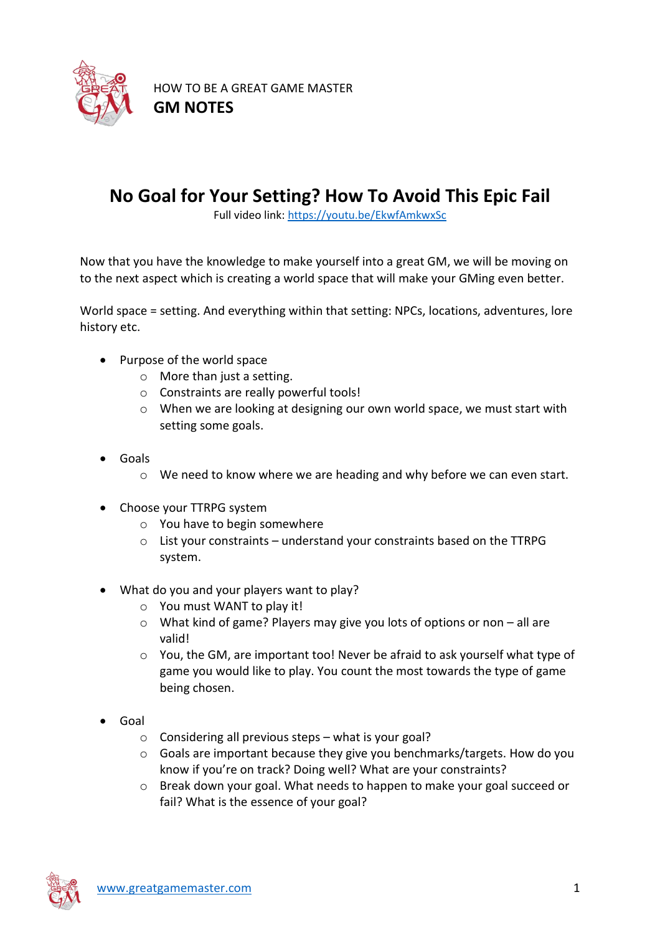

HOW TO BE A GREAT GAME MASTER **GM NOTES**

## **No Goal for Your Setting? How To Avoid This Epic Fail**

Full video link:<https://youtu.be/EkwfAmkwxSc>

Now that you have the knowledge to make yourself into a great GM, we will be moving on to the next aspect which is creating a world space that will make your GMing even better.

World space = setting. And everything within that setting: NPCs, locations, adventures, lore history etc.

- Purpose of the world space
	- o More than just a setting.
	- o Constraints are really powerful tools!
	- o When we are looking at designing our own world space, we must start with setting some goals.
- Goals
	- o We need to know where we are heading and why before we can even start.
- Choose your TTRPG system
	- o You have to begin somewhere
	- o List your constraints understand your constraints based on the TTRPG system.
- What do you and your players want to play?
	- o You must WANT to play it!
	- o What kind of game? Players may give you lots of options or non all are valid!
	- o You, the GM, are important too! Never be afraid to ask yourself what type of game you would like to play. You count the most towards the type of game being chosen.
- Goal
	- o Considering all previous steps what is your goal?
	- $\circ$  Goals are important because they give you benchmarks/targets. How do you know if you're on track? Doing well? What are your constraints?
	- o Break down your goal. What needs to happen to make your goal succeed or fail? What is the essence of your goal?